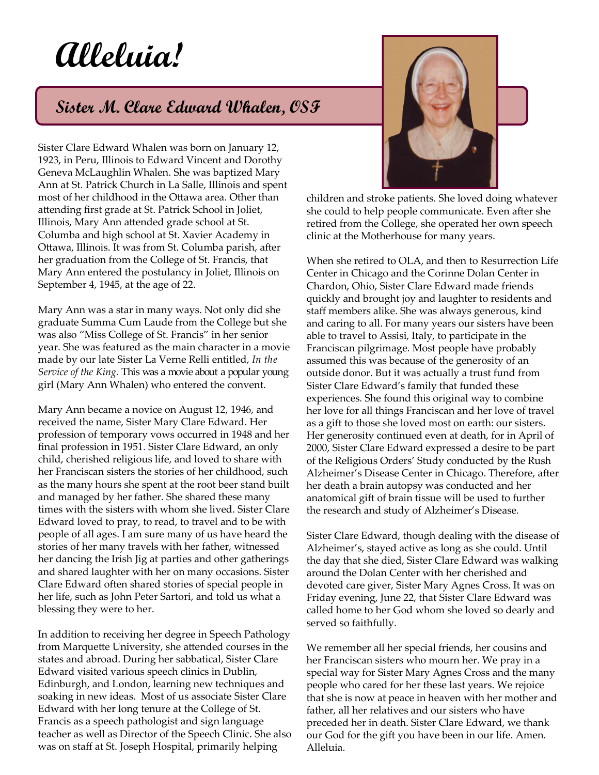## **Alleluia!**

## **Sister M. Clare Edward Whalen, OSF**

Sister Clare Edward Whalen was born on January 12, 1923, in Peru, Illinois to Edward Vincent and Dorothy Geneva McLaughlin Whalen. She was baptized Mary Ann at St. Patrick Church in La Salle, Illinois and spent most of her childhood in the Ottawa area. Other than attending first grade at St. Patrick School in Joliet, Illinois, Mary Ann attended grade school at St. Columba and high school at St. Xavier Academy in Ottawa, Illinois. It was from St. Columba parish, after her graduation from the College of St. Francis, that Mary Ann entered the postulancy in Joliet, Illinois on September 4, 1945, at the age of 22.

Mary Ann was a star in many ways. Not only did she graduate Summa Cum Laude from the College but she was also "Miss College of St. Francis" in her senior year. She was featured as the main character in a movie made by our late Sister La Verne Relli entitled, *In the Service of the King.* This was a movie about a popular young girl (Mary Ann Whalen) who entered the convent.

Mary Ann became a novice on August 12, 1946, and received the name, Sister Mary Clare Edward. Her profession of temporary vows occurred in 1948 and her final profession in 1951. Sister Clare Edward, an only child, cherished religious life, and loved to share with her Franciscan sisters the stories of her childhood, such as the many hours she spent at the root beer stand built and managed by her father. She shared these many times with the sisters with whom she lived. Sister Clare Edward loved to pray, to read, to travel and to be with people of all ages. I am sure many of us have heard the stories of her many travels with her father, witnessed her dancing the Irish Jig at parties and other gatherings and shared laughter with her on many occasions. Sister Clare Edward often shared stories of special people in her life, such as John Peter Sartori, and told us what a blessing they were to her.

In addition to receiving her degree in Speech Pathology from Marquette University, she attended courses in the states and abroad. During her sabbatical, Sister Clare Edward visited various speech clinics in Dublin, Edinburgh, and London, learning new techniques and soaking in new ideas. Most of us associate Sister Clare Edward with her long tenure at the College of St. Francis as a speech pathologist and sign language teacher as well as Director of the Speech Clinic. She also was on staff at St. Joseph Hospital, primarily helping



children and stroke patients. She loved doing whatever she could to help people communicate. Even after she retired from the College, she operated her own speech clinic at the Motherhouse for many years.

When she retired to OLA, and then to Resurrection Life Center in Chicago and the Corinne Dolan Center in Chardon, Ohio, Sister Clare Edward made friends quickly and brought joy and laughter to residents and staff members alike. She was always generous, kind and caring to all. For many years our sisters have been able to travel to Assisi, Italy, to participate in the Franciscan pilgrimage. Most people have probably assumed this was because of the generosity of an outside donor. But it was actually a trust fund from Sister Clare Edward's family that funded these experiences. She found this original way to combine her love for all things Franciscan and her love of travel as a gift to those she loved most on earth: our sisters. Her generosity continued even at death, for in April of 2000, Sister Clare Edward expressed a desire to be part of the Religious Orders' Study conducted by the Rush Alzheimer's Disease Center in Chicago. Therefore, after her death a brain autopsy was conducted and her anatomical gift of brain tissue will be used to further the research and study of Alzheimer's Disease.

Sister Clare Edward, though dealing with the disease of Alzheimer's, stayed active as long as she could. Until the day that she died, Sister Clare Edward was walking around the Dolan Center with her cherished and devoted care giver, Sister Mary Agnes Cross. It was on Friday evening, June 22, that Sister Clare Edward was called home to her God whom she loved so dearly and served so faithfully.

We remember all her special friends, her cousins and her Franciscan sisters who mourn her. We pray in a special way for Sister Mary Agnes Cross and the many people who cared for her these last years. We rejoice that she is now at peace in heaven with her mother and father, all her relatives and our sisters who have preceded her in death. Sister Clare Edward, we thank our God for the gift you have been in our life. Amen. Alleluia.